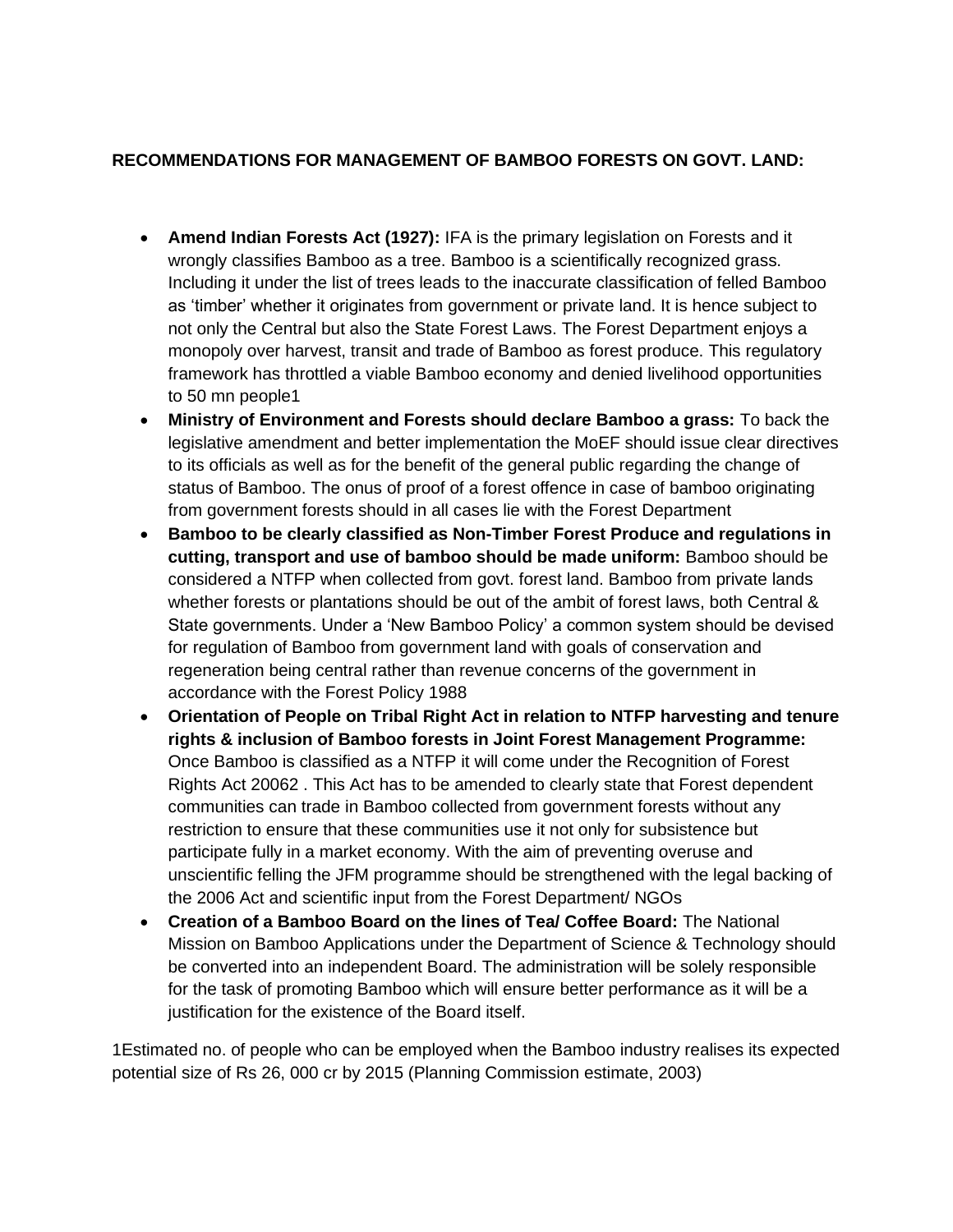## **RECOMMENDATIONS FOR MANAGEMENT OF BAMBOO FORESTS ON GOVT. LAND:**

- **Amend Indian Forests Act (1927):** IFA is the primary legislation on Forests and it wrongly classifies Bamboo as a tree. Bamboo is a scientifically recognized grass. Including it under the list of trees leads to the inaccurate classification of felled Bamboo as 'timber' whether it originates from government or private land. It is hence subject to not only the Central but also the State Forest Laws. The Forest Department enjoys a monopoly over harvest, transit and trade of Bamboo as forest produce. This regulatory framework has throttled a viable Bamboo economy and denied livelihood opportunities to 50 mn people1
- **Ministry of Environment and Forests should declare Bamboo a grass:** To back the legislative amendment and better implementation the MoEF should issue clear directives to its officials as well as for the benefit of the general public regarding the change of status of Bamboo. The onus of proof of a forest offence in case of bamboo originating from government forests should in all cases lie with the Forest Department
- **Bamboo to be clearly classified as Non-Timber Forest Produce and regulations in cutting, transport and use of bamboo should be made uniform:** Bamboo should be considered a NTFP when collected from govt. forest land. Bamboo from private lands whether forests or plantations should be out of the ambit of forest laws, both Central & State governments. Under a 'New Bamboo Policy' a common system should be devised for regulation of Bamboo from government land with goals of conservation and regeneration being central rather than revenue concerns of the government in accordance with the Forest Policy 1988
- **Orientation of People on Tribal Right Act in relation to NTFP harvesting and tenure rights & inclusion of Bamboo forests in Joint Forest Management Programme:** Once Bamboo is classified as a NTFP it will come under the Recognition of Forest Rights Act 20062 . This Act has to be amended to clearly state that Forest dependent communities can trade in Bamboo collected from government forests without any restriction to ensure that these communities use it not only for subsistence but participate fully in a market economy. With the aim of preventing overuse and unscientific felling the JFM programme should be strengthened with the legal backing of the 2006 Act and scientific input from the Forest Department/ NGOs
- **Creation of a Bamboo Board on the lines of Tea/ Coffee Board:** The National Mission on Bamboo Applications under the Department of Science & Technology should be converted into an independent Board. The administration will be solely responsible for the task of promoting Bamboo which will ensure better performance as it will be a justification for the existence of the Board itself.

1Estimated no. of people who can be employed when the Bamboo industry realises its expected potential size of Rs 26, 000 cr by 2015 (Planning Commission estimate, 2003)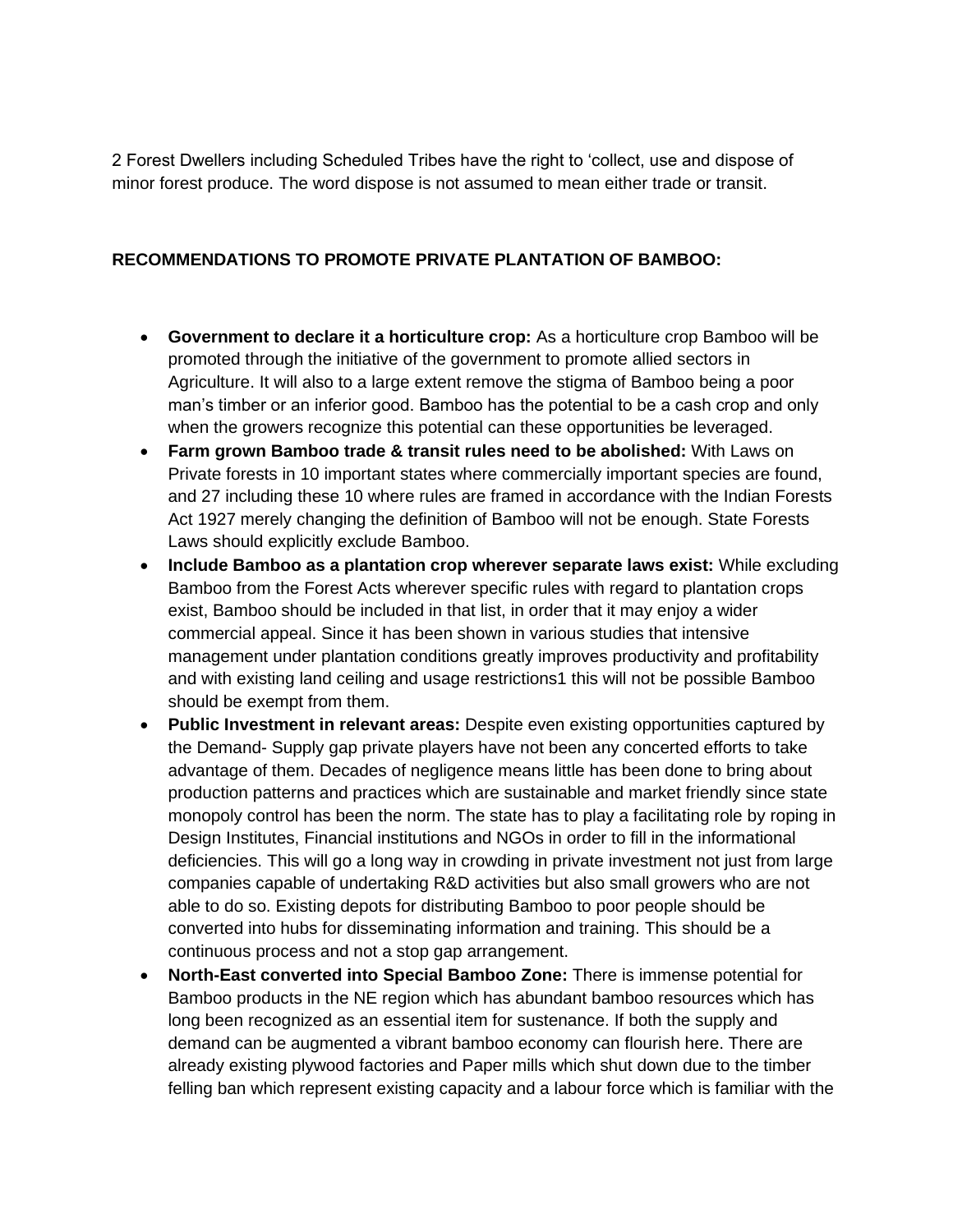2 Forest Dwellers including Scheduled Tribes have the right to 'collect, use and dispose of minor forest produce. The word dispose is not assumed to mean either trade or transit.

## **RECOMMENDATIONS TO PROMOTE PRIVATE PLANTATION OF BAMBOO:**

- **Government to declare it a horticulture crop:** As a horticulture crop Bamboo will be promoted through the initiative of the government to promote allied sectors in Agriculture. It will also to a large extent remove the stigma of Bamboo being a poor man's timber or an inferior good. Bamboo has the potential to be a cash crop and only when the growers recognize this potential can these opportunities be leveraged.
- **Farm grown Bamboo trade & transit rules need to be abolished:** With Laws on Private forests in 10 important states where commercially important species are found, and 27 including these 10 where rules are framed in accordance with the Indian Forests Act 1927 merely changing the definition of Bamboo will not be enough. State Forests Laws should explicitly exclude Bamboo.
- **Include Bamboo as a plantation crop wherever separate laws exist:** While excluding Bamboo from the Forest Acts wherever specific rules with regard to plantation crops exist, Bamboo should be included in that list, in order that it may enjoy a wider commercial appeal. Since it has been shown in various studies that intensive management under plantation conditions greatly improves productivity and profitability and with existing land ceiling and usage restrictions1 this will not be possible Bamboo should be exempt from them.
- **Public Investment in relevant areas:** Despite even existing opportunities captured by the Demand- Supply gap private players have not been any concerted efforts to take advantage of them. Decades of negligence means little has been done to bring about production patterns and practices which are sustainable and market friendly since state monopoly control has been the norm. The state has to play a facilitating role by roping in Design Institutes, Financial institutions and NGOs in order to fill in the informational deficiencies. This will go a long way in crowding in private investment not just from large companies capable of undertaking R&D activities but also small growers who are not able to do so. Existing depots for distributing Bamboo to poor people should be converted into hubs for disseminating information and training. This should be a continuous process and not a stop gap arrangement.
- **North-East converted into Special Bamboo Zone:** There is immense potential for Bamboo products in the NE region which has abundant bamboo resources which has long been recognized as an essential item for sustenance. If both the supply and demand can be augmented a vibrant bamboo economy can flourish here. There are already existing plywood factories and Paper mills which shut down due to the timber felling ban which represent existing capacity and a labour force which is familiar with the